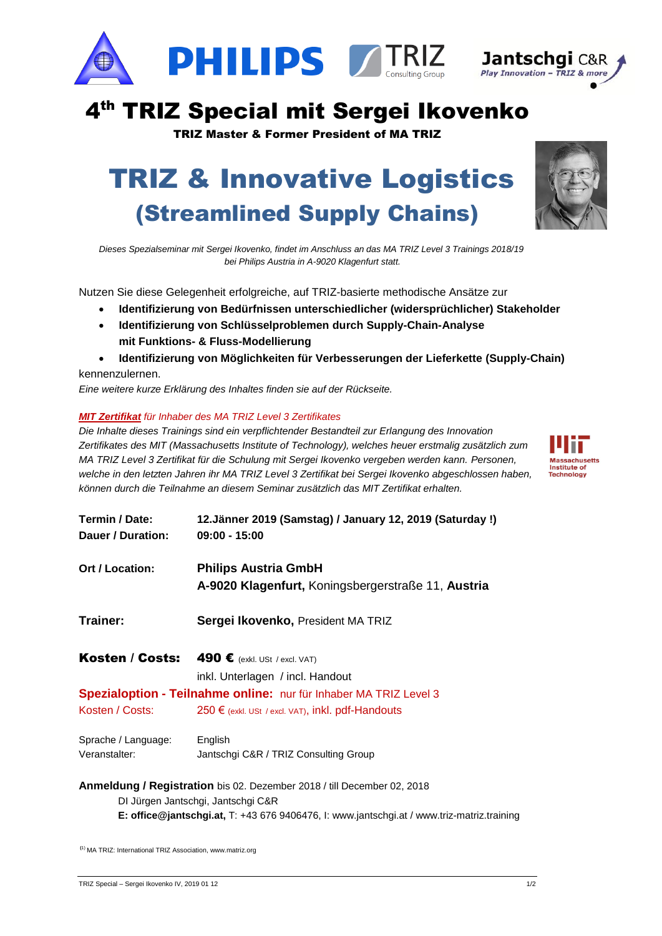

## 4<sup>th</sup> TRIZ Special mit Sergei Ikovenko

TRIZ Master & Former President of MA TRIZ

# TRIZ & Innovative Logistics (Streamlined Supply Chains)

*Dieses Spezialseminar mit Sergei Ikovenko, findet im Anschluss an das MA TRIZ Level 3 Trainings 2018/19 bei Philips Austria in A-9020 Klagenfurt statt.* 

Nutzen Sie diese Gelegenheit erfolgreiche, auf TRIZ-basierte methodische Ansätze zur

- **Identifizierung von Bedürfnissen unterschiedlicher (widersprüchlicher) Stakeholder**
- **Identifizierung von Schlüsselproblemen durch Supply-Chain-Analyse mit Funktions- & Fluss-Modellierung**
- **Identifizierung von Möglichkeiten für Verbesserungen der Lieferkette (Supply-Chain)**

kennenzulernen.

*Eine weitere kurze Erklärung des Inhaltes finden sie auf der Rückseite.*

#### *MIT Zertifikat für Inhaber des MA TRIZ Level 3 Zertifikates*

*Die Inhalte dieses Trainings sind ein verpflichtender Bestandteil zur Erlangung des Innovation Zertifikates des MIT (Massachusetts Institute of Technology), welches heuer erstmalig zusätzlich zum MA TRIZ Level 3 Zertifikat für die Schulung mit Sergei Ikovenko vergeben werden kann. Personen, welche in den letzten Jahren ihr MA TRIZ Level 3 Zertifikat bei Sergei Ikovenko abgeschlossen haben, können durch die Teilnahme an diesem Seminar zusätzlich das MIT Zertifikat erhalten.* 



| Termin / Date:<br>Dauer / Duration:                               | 12. Jänner 2019 (Samstag) / January 12, 2019 (Saturday!)<br>$09:00 - 15:00$       |
|-------------------------------------------------------------------|-----------------------------------------------------------------------------------|
| Ort / Location:                                                   | <b>Philips Austria GmbH</b><br>A-9020 Klagenfurt, Koningsbergerstraße 11, Austria |
| Trainer:                                                          | Sergei Ikovenko, President MA TRIZ                                                |
| Kosten / Costs:                                                   | 490 $\epsilon$ (exkl. USt / excl. VAT)                                            |
|                                                                   | inkl. Unterlagen / incl. Handout                                                  |
| Spezialoption - Teilnahme online: nur für Inhaber MA TRIZ Level 3 |                                                                                   |
| Kosten / Costs:                                                   | $250 \in (exkl. USt / excl. VAT)$ , inkl. pdf-Handouts                            |
| Sprache / Language:<br>Veranstalter:                              | English<br>Jantschgi C&R / TRIZ Consulting Group                                  |

#### **Anmeldung / Registration** bis 02. Dezember 2018 / till December 02, 2018 DI Jürgen Jantschgi, Jantschgi C&R **E: office@jantschgi.at,** T: +43 676 9406476, I: www.jantschgi.at / www.triz-matriz.training



**Jantschgi C&R Play Innovation - TRIZ & more** 

**<sup>(</sup>**1) MA TRIZ: International TRIZ Association, www.matriz.org